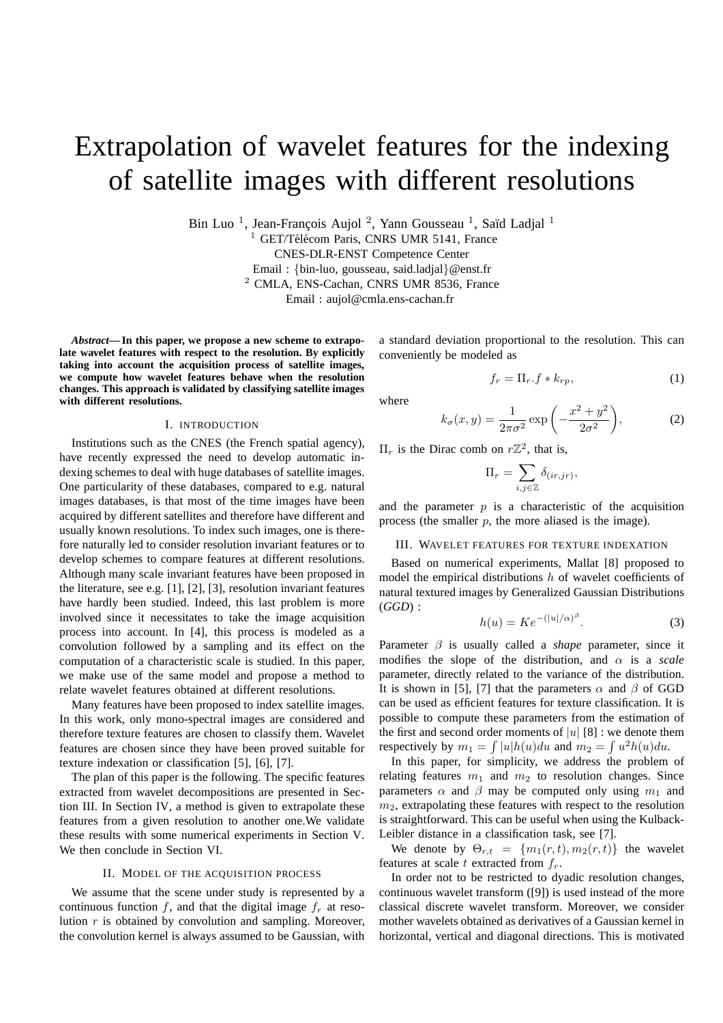# Extrapolation of wavelet features for the indexing of satellite images with different resolutions

Bin Luo<sup>1</sup>, Jean-François Aujol<sup>2</sup>, Yann Gousseau<sup>1</sup>, Saïd Ladjal<sup>1</sup>

<sup>1</sup> GET/Télécom Paris, CNRS UMR 5141, France

CNES-DLR-ENST Competence Center

Email : {bin-luo, gousseau, said.ladjal}@enst.fr

<sup>2</sup> CMLA, ENS-Cachan, CNRS UMR 8536, France

Email : aujol@cmla.ens-cachan.fr

*Abstract***— In this paper, we propose a new scheme to extrapolate wavelet features with respect to the resolution. By explicitly taking into account the acquisition process of satellite images, we compute how wavelet features behave when the resolution changes. This approach is validated by classifying satellite images with different resolutions.**

# I. INTRODUCTION

Institutions such as the CNES (the French spatial agency), have recently expressed the need to develop automatic indexing schemes to deal with huge databases of satellite images. One particularity of these databases, compared to e.g. natural images databases, is that most of the time images have been acquired by different satellites and therefore have different and usually known resolutions. To index such images, one is therefore naturally led to consider resolution invariant features or to develop schemes to compare features at different resolutions. Although many scale invariant features have been proposed in the literature, see e.g. [1], [2], [3], resolution invariant features have hardly been studied. Indeed, this last problem is more involved since it necessitates to take the image acquisition process into account. In [4], this process is modeled as a convolution followed by a sampling and its effect on the computation of a characteristic scale is studied. In this paper, we make use of the same model and propose a method to relate wavelet features obtained at different resolutions.

Many features have been proposed to index satellite images. In this work, only mono-spectral images are considered and therefore texture features are chosen to classify them. Wavelet features are chosen since they have been proved suitable for texture indexation or classification [5], [6], [7].

The plan of this paper is the following. The specific features extracted from wavelet decompositions are presented in Section III. In Section IV, a method is given to extrapolate these features from a given resolution to another one.We validate these results with some numerical experiments in Section V. We then conclude in Section VI.

#### II. MODEL OF THE ACQUISITION PROCESS

We assume that the scene under study is represented by a continuous function f, and that the digital image  $f_r$  at resolution  $r$  is obtained by convolution and sampling. Moreover, the convolution kernel is always assumed to be Gaussian, with a standard deviation proportional to the resolution. This can conveniently be modeled as

$$
f_r = \Pi_r \cdot f * k_{rp}, \tag{1}
$$

where

$$
k_{\sigma}(x,y) = \frac{1}{2\pi\sigma^2} \exp\left(-\frac{x^2 + y^2}{2\sigma^2}\right),\tag{2}
$$

 $\Pi_r$  is the Dirac comb on  $r\mathbb{Z}^2$ , that is,

$$
\Pi_r = \sum_{i,j \in \mathbb{Z}} \delta_{(ir,jr)},
$$

and the parameter  $p$  is a characteristic of the acquisition process (the smaller  $p$ , the more aliased is the image).

#### III. WAVELET FEATURES FOR TEXTURE INDEXATION

Based on numerical experiments, Mallat [8] proposed to model the empirical distributions  $h$  of wavelet coefficients of natural textured images by Generalized Gaussian Distributions (*GGD*) :

$$
h(u) = Ke^{-(|u|/\alpha)^{\beta}}.
$$
 (3)

Parameter β is usually called a *shape* parameter, since it modifies the slope of the distribution, and  $\alpha$  is a *scale* parameter, directly related to the variance of the distribution. It is shown in [5], [7] that the parameters  $\alpha$  and  $\beta$  of GGD can be used as efficient features for texture classification. It is possible to compute these parameters from the estimation of the first and second order moments of  $|u|$  [8] : we denote them respectively by  $m_1 = \int |u|h(u)du$  and  $m_2 = \int u^2h(u)du$ .

In this paper, for simplicity, we address the problem of relating features  $m_1$  and  $m_2$  to resolution changes. Since parameters  $\alpha$  and  $\beta$  may be computed only using  $m_1$  and  $m<sub>2</sub>$ , extrapolating these features with respect to the resolution is straightforward. This can be useful when using the Kulback-Leibler distance in a classification task, see [7].

We denote by  $\Theta_{r,t} = \{m_1(r,t), m_2(r,t)\}\;$  the wavelet features at scale t extracted from  $f_r$ .

In order not to be restricted to dyadic resolution changes, continuous wavelet transform ([9]) is used instead of the more classical discrete wavelet transform. Moreover, we consider mother wavelets obtained as derivatives of a Gaussian kernel in horizontal, vertical and diagonal directions. This is motivated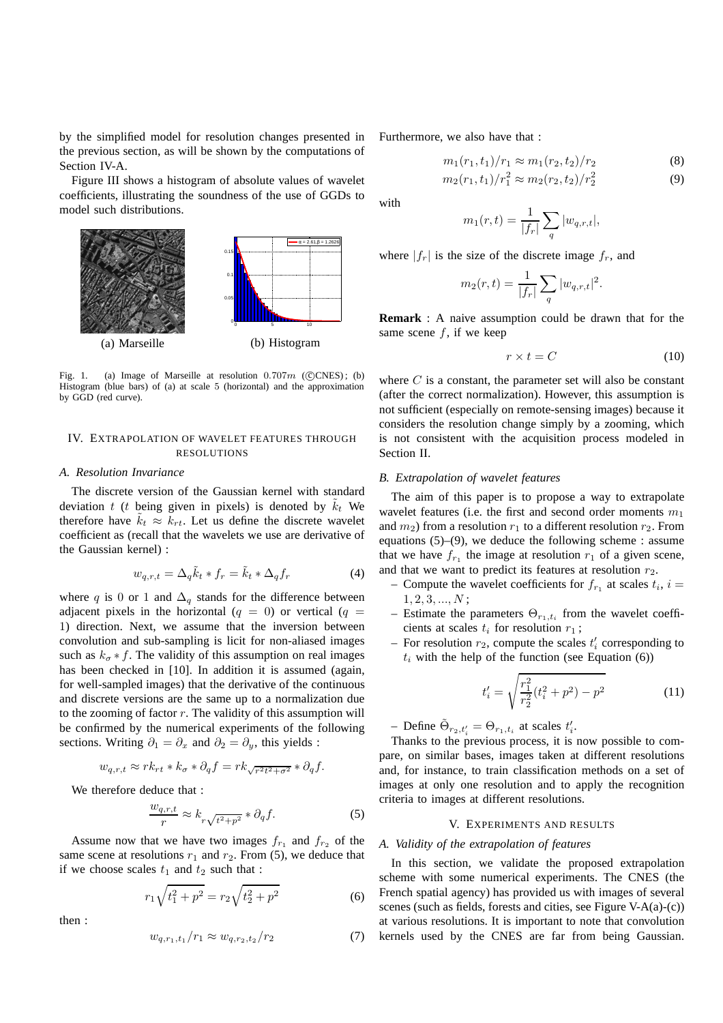by the simplified model for resolution changes presented in the previous section, as will be shown by the computations of Section IV-A.

Figure III shows a histogram of absolute values of wavelet coefficients, illustrating the soundness of the use of GGDs to model such distributions.



Fig. 1. (a) Image of Marseille at resolution  $0.707m$  ( $\odot$ CNES); (b) Histogram (blue bars) of (a) at scale 5 (horizontal) and the approximation by GGD (red curve).

## IV. EXTRAPOLATION OF WAVELET FEATURES THROUGH RESOLUTIONS

#### *A. Resolution Invariance*

The discrete version of the Gaussian kernel with standard deviation  $t$  ( $t$  being given in pixels) is denoted by  $k_t$  We therefore have  $k_t \approx k_{rt}$ . Let us define the discrete wavelet coefficient as (recall that the wavelets we use are derivative of the Gaussian kernel) :

$$
w_{q,r,t} = \Delta_q \tilde{k}_t * f_r = \tilde{k}_t * \Delta_q f_r \tag{4}
$$

where q is 0 or 1 and  $\Delta_q$  stands for the difference between adjacent pixels in the horizontal  $(q = 0)$  or vertical  $(q = 0)$ 1) direction. Next, we assume that the inversion between convolution and sub-sampling is licit for non-aliased images such as  $k_{\sigma} * f$ . The validity of this assumption on real images has been checked in [10]. In addition it is assumed (again, for well-sampled images) that the derivative of the continuous and discrete versions are the same up to a normalization due to the zooming of factor  $r$ . The validity of this assumption will be confirmed by the numerical experiments of the following sections. Writing  $\partial_1 = \partial_x$  and  $\partial_2 = \partial_y$ , this yields :

$$
w_{q,r,t} \approx r k_{rt} * k_{\sigma} * \partial_q f = r k_{\sqrt{r^2 t^2 + \sigma^2}} * \partial_q f.
$$

We therefore deduce that :

$$
\frac{w_{q,r,t}}{r} \approx k_{r\sqrt{t^2 + p^2}} * \partial_q f. \tag{5}
$$

Assume now that we have two images  $f_{r_1}$  and  $f_{r_2}$  of the same scene at resolutions  $r_1$  and  $r_2$ . From (5), we deduce that if we choose scales  $t_1$  and  $t_2$  such that :

$$
r_1\sqrt{t_1^2 + p^2} = r_2\sqrt{t_2^2 + p^2}
$$
 (6)

then :

$$
w_{q,r_1,t_1}/r_1 \approx w_{q,r_2,t_2}/r_2 \tag{7}
$$

Furthermore, we also have that :

$$
m_1(r_1, t_1)/r_1 \approx m_1(r_2, t_2)/r_2 \tag{8}
$$

$$
m_2(r_1, t_1)/r_1^2 \approx m_2(r_2, t_2)/r_2^2 \tag{9}
$$

with

$$
m_1(r,t)=\frac{1}{|f_r|}\sum_q |w_{q,r,t}|,
$$

where  $|f_r|$  is the size of the discrete image  $f_r$ , and

$$
m_2(r,t) = \frac{1}{|f_r|} \sum_{q} |w_{q,r,t}|^2.
$$

**Remark** : A naive assumption could be drawn that for the same scene  $f$ , if we keep

$$
r \times t = C \tag{10}
$$

where  $C$  is a constant, the parameter set will also be constant (after the correct normalization). However, this assumption is not sufficient (especially on remote-sensing images) because it considers the resolution change simply by a zooming, which is not consistent with the acquisition process modeled in Section II.

## *B. Extrapolation of wavelet features*

The aim of this paper is to propose a way to extrapolate wavelet features (i.e. the first and second order moments  $m_1$ and  $m_2$ ) from a resolution  $r_1$  to a different resolution  $r_2$ . From equations  $(5)$ – $(9)$ , we deduce the following scheme : assume that we have  $f_{r_1}$  the image at resolution  $r_1$  of a given scene, and that we want to predict its features at resolution  $r_2$ .

- Compute the wavelet coefficients for  $f_{r_1}$  at scales  $t_i$ ,  $i =$  $1, 2, 3, ..., N;$
- Estimate the parameters  $\Theta_{r_1,t_i}$  from the wavelet coefficients at scales  $t_i$  for resolution  $r_1$ ;
- For resolution  $r_2$ , compute the scales  $t'_i$  corresponding to  $t_i$  with the help of the function (see Equation (6))

$$
t'_{i} = \sqrt{\frac{r_1^2}{r_2^2}(t_i^2 + p^2) - p^2}
$$
 (11)

- Define  $\tilde{\Theta}_{r_2,t'_i} = \Theta_{r_1,t_i}$  at scales  $t'_i$ .

Thanks to the previous process, it is now possible to compare, on similar bases, images taken at different resolutions and, for instance, to train classification methods on a set of images at only one resolution and to apply the recognition criteria to images at different resolutions.

# V. EXPERIMENTS AND RESULTS

#### *A. Validity of the extrapolation of features*

In this section, we validate the proposed extrapolation scheme with some numerical experiments. The CNES (the French spatial agency) has provided us with images of several scenes (such as fields, forests and cities, see Figure V-A(a)-(c)) at various resolutions. It is important to note that convolution kernels used by the CNES are far from being Gaussian.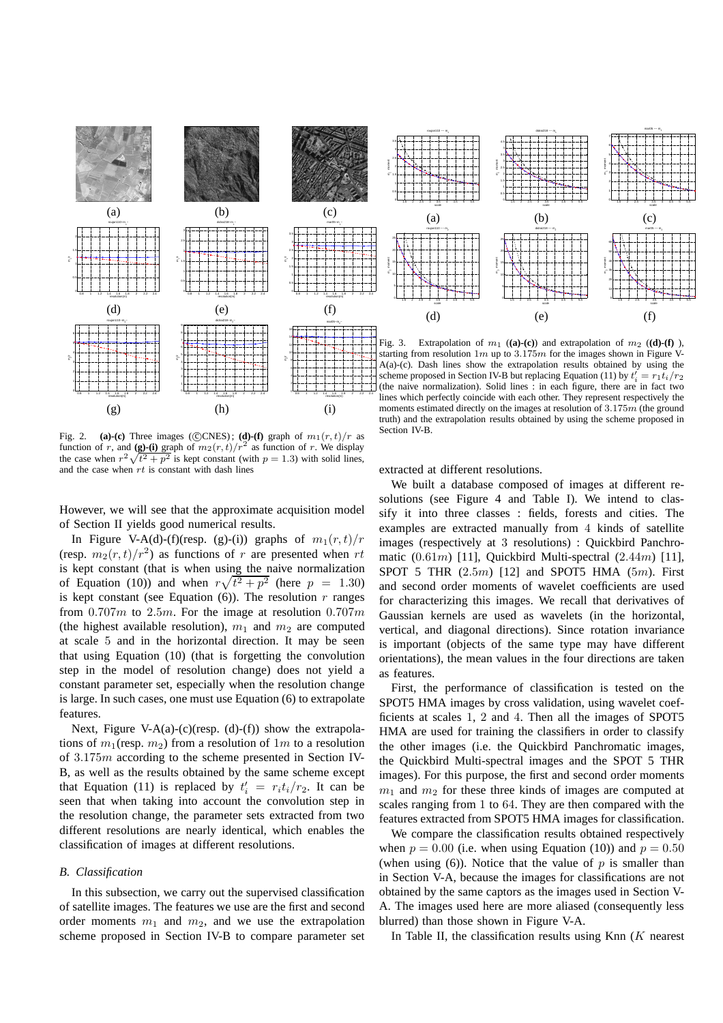

Fig. 2. **(a)-(c)** Three images (CCNES); **(d)-(f)** graph of  $m_1(r, t)/r$  as function of r, and **(g)-(i)** graph of  $m_2(r, t)/r^2$  as function of r. We display the case when  $r^2\sqrt{t^2+p^2}$  is kept constant (with  $p=1.3$ ) with solid lines, and the case when  $rt$  is constant with dash lines

However, we will see that the approximate acquisition model of Section II yields good numerical results.

In Figure V-A(d)-(f)(resp. (g)-(i)) graphs of  $m_1(r, t)/r$ (resp.  $m_2(r, t)/r^2$ ) as functions of r are presented when rt is kept constant (that is when using the naive normalization of Equation (10)) and when  $r\sqrt{t^2 + p^2}$  (here  $p = 1.30$ ) is kept constant (see Equation  $(6)$ ). The resolution r ranges from  $0.707m$  to  $2.5m$ . For the image at resolution  $0.707m$ (the highest available resolution),  $m_1$  and  $m_2$  are computed at scale 5 and in the horizontal direction. It may be seen that using Equation (10) (that is forgetting the convolution step in the model of resolution change) does not yield a constant parameter set, especially when the resolution change is large. In such cases, one must use Equation (6) to extrapolate features.

Next, Figure V-A(a)-(c)(resp. (d)-(f)) show the extrapolations of  $m_1$ (resp.  $m_2$ ) from a resolution of 1m to a resolution of 3.175m according to the scheme presented in Section IV-B, as well as the results obtained by the same scheme except that Equation (11) is replaced by  $t'_i = r_i t_i/r_2$ . It can be seen that when taking into account the convolution step in the resolution change, the parameter sets extracted from two different resolutions are nearly identical, which enables the classification of images at different resolutions.

### *B. Classification*

In this subsection, we carry out the supervised classification of satellite images. The features we use are the first and second order moments  $m_1$  and  $m_2$ , and we use the extrapolation scheme proposed in Section IV-B to compare parameter set



Fig. 3. Extrapolation of  $m_1$  ((a)-(c)) and extrapolation of  $m_2$  ((d)-(f)), starting from resolution  $1m$  up to  $3.175m$  for the images shown in Figure V-A(a)-(c). Dash lines show the extrapolation results obtained by using the scheme proposed in Section IV-B but replacing Equation (11) by  $t'_{i} = r_1 t_i/r_2$ (the naive normalization). Solid lines : in each figure, there are in fact two lines which perfectly coincide with each other. They represent respectively the moments estimated directly on the images at resolution of 3.175m (the ground truth) and the extrapolation results obtained by using the scheme proposed in Section IV-B.

extracted at different resolutions.

We built a database composed of images at different resolutions (see Figure 4 and Table I). We intend to classify it into three classes : fields, forests and cities. The examples are extracted manually from 4 kinds of satellite images (respectively at 3 resolutions) : Quickbird Panchromatic (0.61m) [11], Quickbird Multi-spectral (2.44m) [11], SPOT 5 THR  $(2.5m)$  [12] and SPOT5 HMA  $(5m)$ . First and second order moments of wavelet coefficients are used for characterizing this images. We recall that derivatives of Gaussian kernels are used as wavelets (in the horizontal, vertical, and diagonal directions). Since rotation invariance is important (objects of the same type may have different orientations), the mean values in the four directions are taken as features.

First, the performance of classification is tested on the SPOT5 HMA images by cross validation, using wavelet coefficients at scales 1, 2 and 4. Then all the images of SPOT5 HMA are used for training the classifiers in order to classify the other images (i.e. the Quickbird Panchromatic images, the Quickbird Multi-spectral images and the SPOT 5 THR images). For this purpose, the first and second order moments  $m_1$  and  $m_2$  for these three kinds of images are computed at scales ranging from 1 to 64. They are then compared with the features extracted from SPOT5 HMA images for classification.

We compare the classification results obtained respectively when  $p = 0.00$  (i.e. when using Equation (10)) and  $p = 0.50$ (when using  $(6)$ ). Notice that the value of p is smaller than in Section V-A, because the images for classifications are not obtained by the same captors as the images used in Section V-A. The images used here are more aliased (consequently less blurred) than those shown in Figure V-A.

In Table II, the classification results using Knn  $(K$  nearest